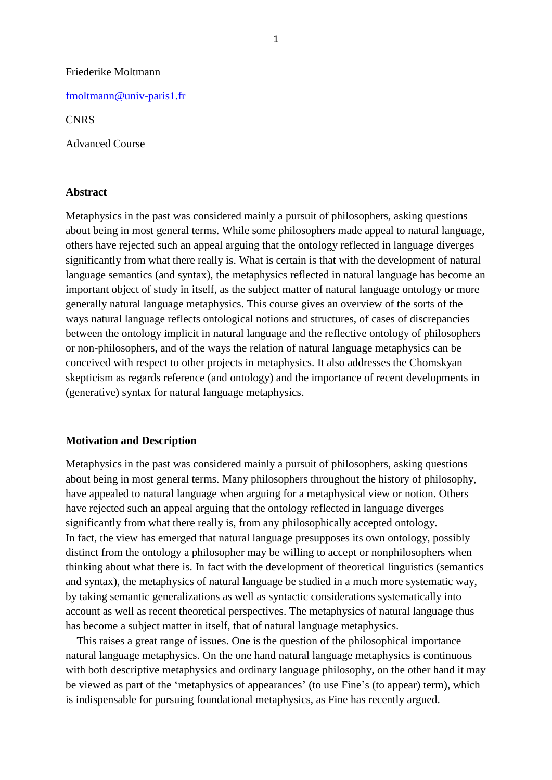#### Friederike Moltmann

[fmoltmann@univ-paris1.fr](mailto:fmoltmann@univ-paris1.fr)

### **CNRS**

Advanced Course

#### **Abstract**

Metaphysics in the past was considered mainly a pursuit of philosophers, asking questions about being in most general terms. While some philosophers made appeal to natural language, others have rejected such an appeal arguing that the ontology reflected in language diverges significantly from what there really is. What is certain is that with the development of natural language semantics (and syntax), the metaphysics reflected in natural language has become an important object of study in itself, as the subject matter of natural language ontology or more generally natural language metaphysics. This course gives an overview of the sorts of the ways natural language reflects ontological notions and structures, of cases of discrepancies between the ontology implicit in natural language and the reflective ontology of philosophers or non-philosophers, and of the ways the relation of natural language metaphysics can be conceived with respect to other projects in metaphysics. It also addresses the Chomskyan skepticism as regards reference (and ontology) and the importance of recent developments in (generative) syntax for natural language metaphysics.

### **Motivation and Description**

Metaphysics in the past was considered mainly a pursuit of philosophers, asking questions about being in most general terms. Many philosophers throughout the history of philosophy, have appealed to natural language when arguing for a metaphysical view or notion. Others have rejected such an appeal arguing that the ontology reflected in language diverges significantly from what there really is, from any philosophically accepted ontology. In fact, the view has emerged that natural language presupposes its own ontology, possibly distinct from the ontology a philosopher may be willing to accept or nonphilosophers when thinking about what there is. In fact with the development of theoretical linguistics (semantics and syntax), the metaphysics of natural language be studied in a much more systematic way, by taking semantic generalizations as well as syntactic considerations systematically into account as well as recent theoretical perspectives. The metaphysics of natural language thus has become a subject matter in itself, that of natural language metaphysics.

 This raises a great range of issues. One is the question of the philosophical importance natural language metaphysics. On the one hand natural language metaphysics is continuous with both descriptive metaphysics and ordinary language philosophy, on the other hand it may be viewed as part of the 'metaphysics of appearances' (to use Fine's (to appear) term), which is indispensable for pursuing foundational metaphysics, as Fine has recently argued.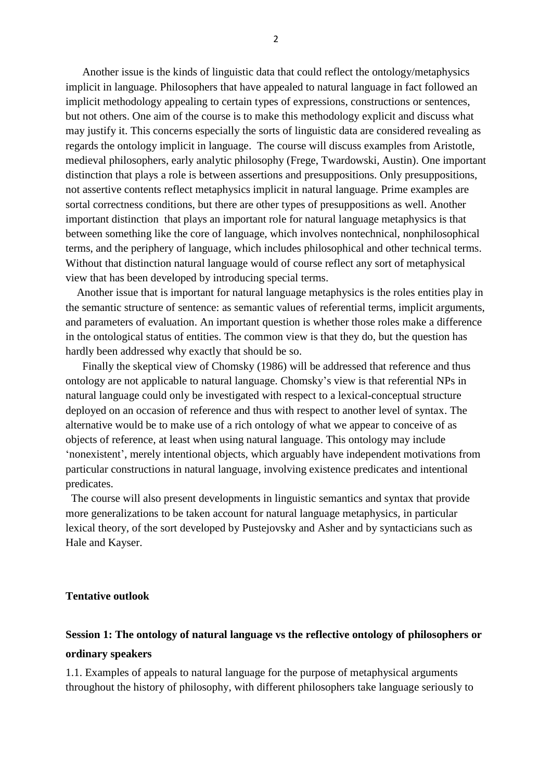Another issue is the kinds of linguistic data that could reflect the ontology/metaphysics implicit in language. Philosophers that have appealed to natural language in fact followed an implicit methodology appealing to certain types of expressions, constructions or sentences, but not others. One aim of the course is to make this methodology explicit and discuss what may justify it. This concerns especially the sorts of linguistic data are considered revealing as regards the ontology implicit in language. The course will discuss examples from Aristotle, medieval philosophers, early analytic philosophy (Frege, Twardowski, Austin). One important distinction that plays a role is between assertions and presuppositions. Only presuppositions, not assertive contents reflect metaphysics implicit in natural language. Prime examples are sortal correctness conditions, but there are other types of presuppositions as well. Another important distinction that plays an important role for natural language metaphysics is that between something like the core of language, which involves nontechnical, nonphilosophical terms, and the periphery of language, which includes philosophical and other technical terms. Without that distinction natural language would of course reflect any sort of metaphysical view that has been developed by introducing special terms.

 Another issue that is important for natural language metaphysics is the roles entities play in the semantic structure of sentence: as semantic values of referential terms, implicit arguments, and parameters of evaluation. An important question is whether those roles make a difference in the ontological status of entities. The common view is that they do, but the question has hardly been addressed why exactly that should be so.

 Finally the skeptical view of Chomsky (1986) will be addressed that reference and thus ontology are not applicable to natural language. Chomsky's view is that referential NPs in natural language could only be investigated with respect to a lexical-conceptual structure deployed on an occasion of reference and thus with respect to another level of syntax. The alternative would be to make use of a rich ontology of what we appear to conceive of as objects of reference, at least when using natural language. This ontology may include 'nonexistent', merely intentional objects, which arguably have independent motivations from particular constructions in natural language, involving existence predicates and intentional predicates.

 The course will also present developments in linguistic semantics and syntax that provide more generalizations to be taken account for natural language metaphysics, in particular lexical theory, of the sort developed by Pustejovsky and Asher and by syntacticians such as Hale and Kayser.

### **Tentative outlook**

# **Session 1: The ontology of natural language vs the reflective ontology of philosophers or ordinary speakers**

1.1. Examples of appeals to natural language for the purpose of metaphysical arguments throughout the history of philosophy, with different philosophers take language seriously to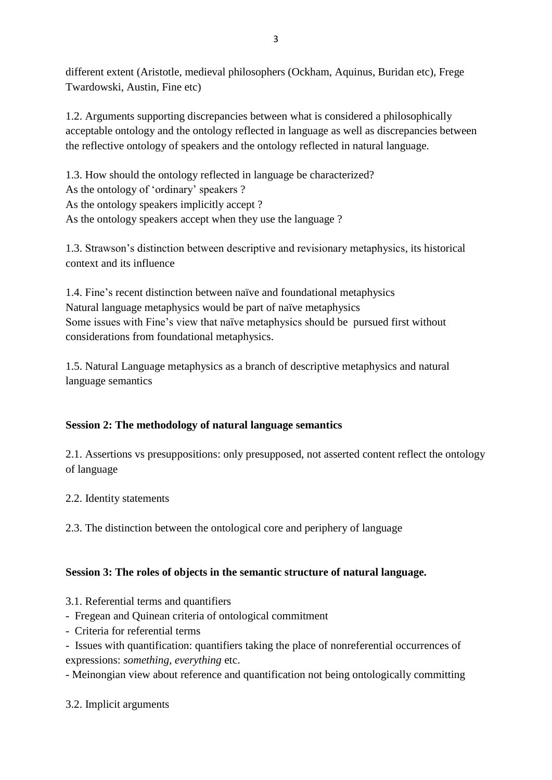different extent (Aristotle, medieval philosophers (Ockham, Aquinus, Buridan etc), Frege Twardowski, Austin, Fine etc)

1.2. Arguments supporting discrepancies between what is considered a philosophically acceptable ontology and the ontology reflected in language as well as discrepancies between the reflective ontology of speakers and the ontology reflected in natural language.

1.3. How should the ontology reflected in language be characterized? As the ontology of 'ordinary' speakers ? As the ontology speakers implicitly accept ? As the ontology speakers accept when they use the language ?

1.3. Strawson's distinction between descriptive and revisionary metaphysics, its historical context and its influence

1.4. Fine's recent distinction between naïve and foundational metaphysics Natural language metaphysics would be part of naïve metaphysics Some issues with Fine's view that naïve metaphysics should be pursued first without considerations from foundational metaphysics.

1.5. Natural Language metaphysics as a branch of descriptive metaphysics and natural language semantics

## **Session 2: The methodology of natural language semantics**

2.1. Assertions vs presuppositions: only presupposed, not asserted content reflect the ontology of language

2.2. Identity statements

2.3. The distinction between the ontological core and periphery of language

## **Session 3: The roles of objects in the semantic structure of natural language.**

3.1. Referential terms and quantifiers

- Fregean and Quinean criteria of ontological commitment
- Criteria for referential terms
- Issues with quantification: quantifiers taking the place of nonreferential occurrences of expressions: *something, everything* etc.

- Meinongian view about reference and quantification not being ontologically committing

3.2. Implicit arguments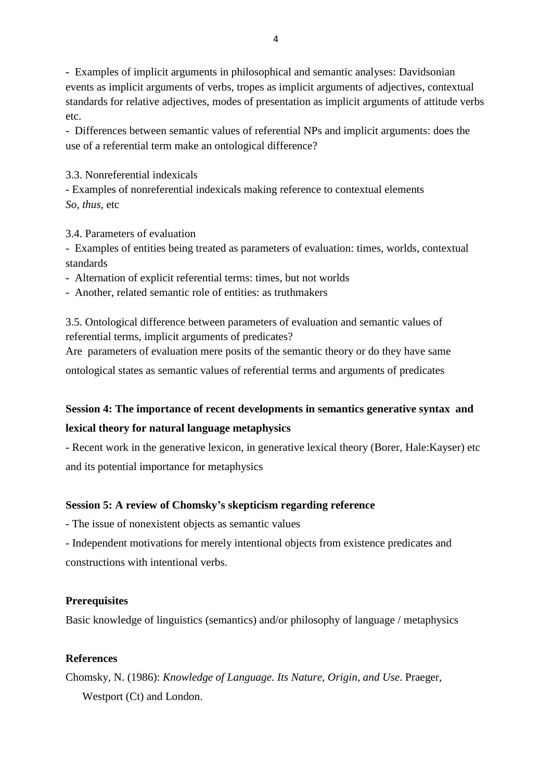- Examples of implicit arguments in philosophical and semantic analyses: Davidsonian events as implicit arguments of verbs, tropes as implicit arguments of adjectives, contextual standards for relative adjectives, modes of presentation as implicit arguments of attitude verbs etc.

- Differences between semantic values of referential NPs and implicit arguments: does the use of a referential term make an ontological difference?

### 3.3. Nonreferential indexicals

- Examples of nonreferential indexicals making reference to contextual elements *So, thus,* etc

3.4. Parameters of evaluation

- Examples of entities being treated as parameters of evaluation: times, worlds, contextual standards

- Alternation of explicit referential terms: times, but not worlds
- Another, related semantic role of entities: as truthmakers

3.5. Ontological difference between parameters of evaluation and semantic values of referential terms, implicit arguments of predicates?

Are parameters of evaluation mere posits of the semantic theory or do they have same

ontological states as semantic values of referential terms and arguments of predicates

# **Session 4: The importance of recent developments in semantics generative syntax and lexical theory for natural language metaphysics**

- Recent work in the generative lexicon, in generative lexical theory (Borer, Hale:Kayser) etc and its potential importance for metaphysics

### **Session 5: A review of Chomsky's skepticism regarding reference**

- The issue of nonexistent objects as semantic values

- Independent motivations for merely intentional objects from existence predicates and constructions with intentional verbs.

### **Prerequisites**

Basic knowledge of linguistics (semantics) and/or philosophy of language / metaphysics

### **References**

Chomsky, N. (1986): *Knowledge of Language. Its Nature, Origin, and Use*. Praeger, Westport (Ct) and London.